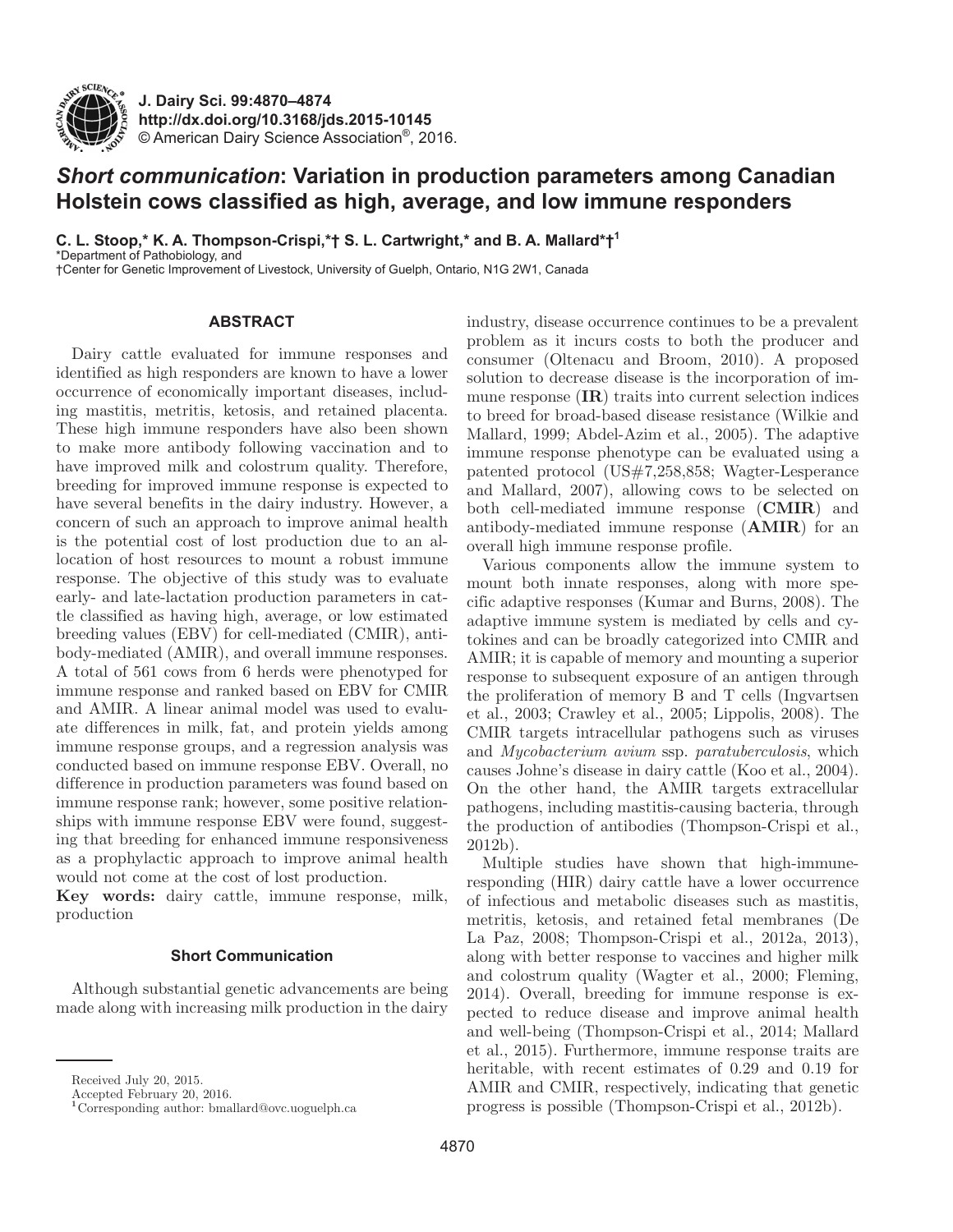

**J. Dairy Sci. 99:4870–4874 http://dx.doi.org/10.3168/jds.2015-10145** © American Dairy Science Association®, 2016.

# *Short communication***: Variation in production parameters among Canadian Holstein cows classified as high, average, and low immune responders**

**C. L. Stoop,\* K. A. Thompson-Crispi,\*† S. L. Cartwright,\* and B. A. Mallard\*†1** \*Department of Pathobiology, and

†Center for Genetic Improvement of Livestock, University of Guelph, Ontario, N1G 2W1, Canada

## **ABSTRACT**

Dairy cattle evaluated for immune responses and identified as high responders are known to have a lower occurrence of economically important diseases, including mastitis, metritis, ketosis, and retained placenta. These high immune responders have also been shown to make more antibody following vaccination and to have improved milk and colostrum quality. Therefore, breeding for improved immune response is expected to have several benefits in the dairy industry. However, a concern of such an approach to improve animal health is the potential cost of lost production due to an allocation of host resources to mount a robust immune response. The objective of this study was to evaluate early- and late-lactation production parameters in cattle classified as having high, average, or low estimated breeding values (EBV) for cell-mediated (CMIR), antibody-mediated (AMIR), and overall immune responses. A total of 561 cows from 6 herds were phenotyped for immune response and ranked based on EBV for CMIR and AMIR. A linear animal model was used to evaluate differences in milk, fat, and protein yields among immune response groups, and a regression analysis was conducted based on immune response EBV. Overall, no difference in production parameters was found based on immune response rank; however, some positive relationships with immune response EBV were found, suggesting that breeding for enhanced immune responsiveness as a prophylactic approach to improve animal health would not come at the cost of lost production.

**Key words:** dairy cattle, immune response, milk, production

#### **Short Communication**

Although substantial genetic advancements are being made along with increasing milk production in the dairy

Accepted February 20, 2016.

industry, disease occurrence continues to be a prevalent problem as it incurs costs to both the producer and consumer (Oltenacu and Broom, 2010). A proposed solution to decrease disease is the incorporation of immune response (**IR**) traits into current selection indices to breed for broad-based disease resistance (Wilkie and Mallard, 1999; Abdel-Azim et al., 2005). The adaptive immune response phenotype can be evaluated using a patented protocol (US#7,258,858; Wagter-Lesperance and Mallard, 2007), allowing cows to be selected on both cell-mediated immune response (**CMIR**) and antibody-mediated immune response (**AMIR**) for an overall high immune response profile.

Various components allow the immune system to mount both innate responses, along with more specific adaptive responses (Kumar and Burns, 2008). The adaptive immune system is mediated by cells and cytokines and can be broadly categorized into CMIR and AMIR; it is capable of memory and mounting a superior response to subsequent exposure of an antigen through the proliferation of memory B and T cells (Ingvartsen et al., 2003; Crawley et al., 2005; Lippolis, 2008). The CMIR targets intracellular pathogens such as viruses and *Mycobacterium avium* ssp. *paratuberculosis*, which causes Johne's disease in dairy cattle (Koo et al., 2004). On the other hand, the AMIR targets extracellular pathogens, including mastitis-causing bacteria, through the production of antibodies (Thompson-Crispi et al., 2012b).

Multiple studies have shown that high-immuneresponding (HIR) dairy cattle have a lower occurrence of infectious and metabolic diseases such as mastitis, metritis, ketosis, and retained fetal membranes (De La Paz, 2008; Thompson-Crispi et al., 2012a, 2013), along with better response to vaccines and higher milk and colostrum quality (Wagter et al., 2000; Fleming, 2014). Overall, breeding for immune response is expected to reduce disease and improve animal health and well-being (Thompson-Crispi et al., 2014; Mallard et al., 2015). Furthermore, immune response traits are heritable, with recent estimates of 0.29 and 0.19 for AMIR and CMIR, respectively, indicating that genetic progress is possible (Thompson-Crispi et al., 2012b).

Received July 20, 2015.

**<sup>1</sup>**Corresponding author: bmallard@ovc.uoguelph.ca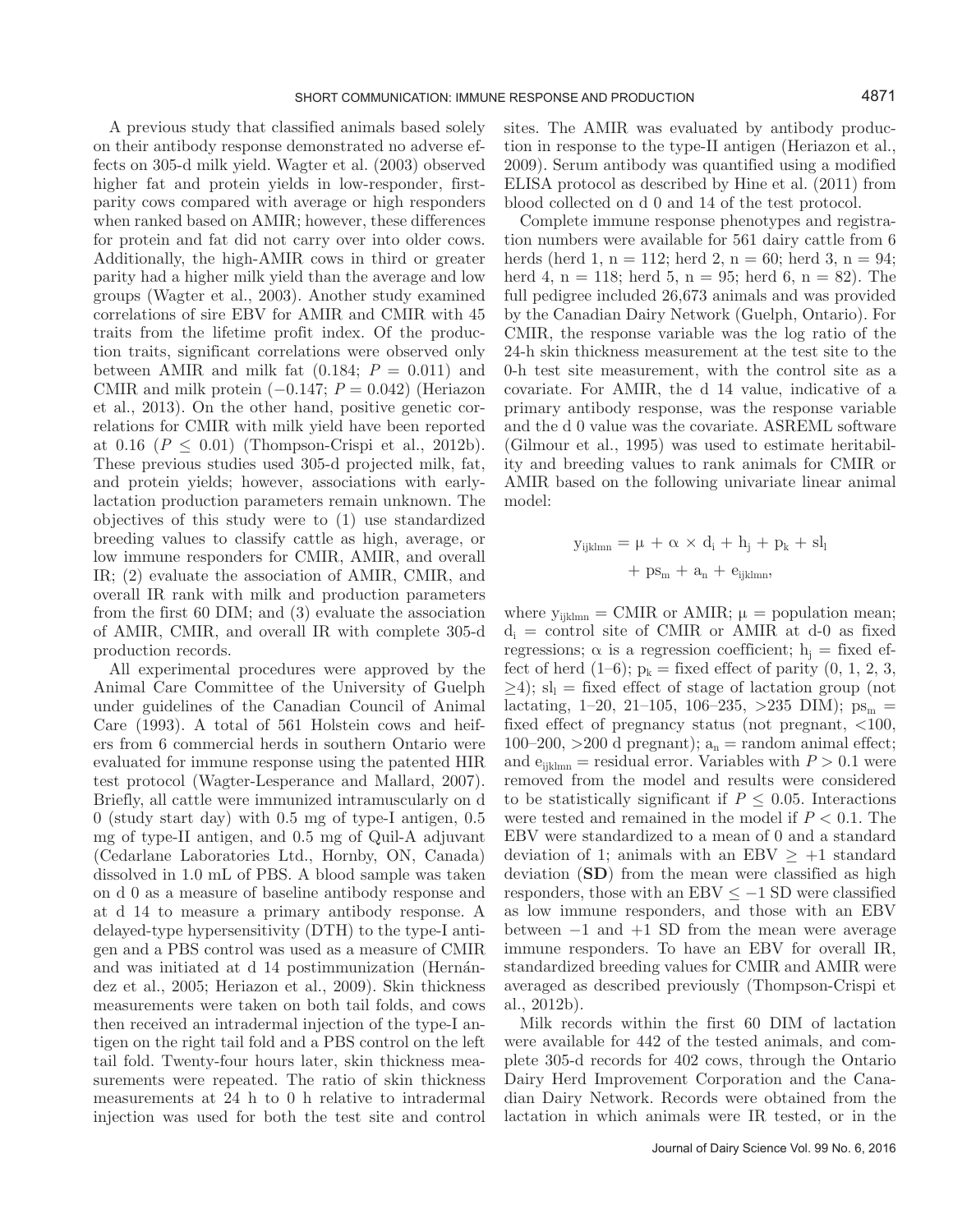A previous study that classified animals based solely on their antibody response demonstrated no adverse effects on 305-d milk yield. Wagter et al. (2003) observed higher fat and protein yields in low-responder, firstparity cows compared with average or high responders when ranked based on AMIR; however, these differences for protein and fat did not carry over into older cows. Additionally, the high-AMIR cows in third or greater parity had a higher milk yield than the average and low groups (Wagter et al., 2003). Another study examined correlations of sire EBV for AMIR and CMIR with 45 traits from the lifetime profit index. Of the production traits, significant correlations were observed only between AMIR and milk fat  $(0.184; P = 0.011)$  and CMIR and milk protein  $(-0.147; P = 0.042)$  (Heriazon et al., 2013). On the other hand, positive genetic correlations for CMIR with milk yield have been reported at  $0.16$   $(P \leq 0.01)$  (Thompson-Crispi et al., 2012b). These previous studies used 305-d projected milk, fat, and protein yields; however, associations with earlylactation production parameters remain unknown. The objectives of this study were to (1) use standardized breeding values to classify cattle as high, average, or low immune responders for CMIR, AMIR, and overall IR; (2) evaluate the association of AMIR, CMIR, and overall IR rank with milk and production parameters from the first 60 DIM; and (3) evaluate the association of AMIR, CMIR, and overall IR with complete 305-d production records.

All experimental procedures were approved by the Animal Care Committee of the University of Guelph under guidelines of the Canadian Council of Animal Care (1993). A total of 561 Holstein cows and heifers from 6 commercial herds in southern Ontario were evaluated for immune response using the patented HIR test protocol (Wagter-Lesperance and Mallard, 2007). Briefly, all cattle were immunized intramuscularly on d 0 (study start day) with 0.5 mg of type-I antigen, 0.5 mg of type-II antigen, and 0.5 mg of Quil-A adjuvant (Cedarlane Laboratories Ltd., Hornby, ON, Canada) dissolved in 1.0 mL of PBS. A blood sample was taken on d 0 as a measure of baseline antibody response and at d 14 to measure a primary antibody response. A delayed-type hypersensitivity (DTH) to the type-I antigen and a PBS control was used as a measure of CMIR and was initiated at d 14 postimmunization (Hernández et al., 2005; Heriazon et al., 2009). Skin thickness measurements were taken on both tail folds, and cows then received an intradermal injection of the type-I antigen on the right tail fold and a PBS control on the left tail fold. Twenty-four hours later, skin thickness measurements were repeated. The ratio of skin thickness measurements at 24 h to 0 h relative to intradermal injection was used for both the test site and control sites. The AMIR was evaluated by antibody production in response to the type-II antigen (Heriazon et al., 2009). Serum antibody was quantified using a modified ELISA protocol as described by Hine et al. (2011) from blood collected on d 0 and 14 of the test protocol.

Complete immune response phenotypes and registration numbers were available for 561 dairy cattle from 6 herds (herd 1,  $n = 112$ ; herd 2,  $n = 60$ ; herd 3,  $n = 94$ ; herd 4,  $n = 118$ ; herd 5,  $n = 95$ ; herd 6,  $n = 82$ ). The full pedigree included 26,673 animals and was provided by the Canadian Dairy Network (Guelph, Ontario). For CMIR, the response variable was the log ratio of the 24-h skin thickness measurement at the test site to the 0-h test site measurement, with the control site as a covariate. For AMIR, the d 14 value, indicative of a primary antibody response, was the response variable and the d 0 value was the covariate. ASREML software (Gilmour et al., 1995) was used to estimate heritability and breeding values to rank animals for CMIR or AMIR based on the following univariate linear animal model:

$$
y_{ijklmn} = \mu + \alpha \times d_i + h_j + p_k + sl_l
$$

$$
+ ps_m + a_n + e_{ijklmn},
$$

where  $y_{ijklmn} = \text{CMIR}$  or AMIR;  $\mu = \text{population mean}$ ;  $d_i$  = control site of CMIR or AMIR at d-0 as fixed regressions;  $\alpha$  is a regression coefficient; h<sub>i</sub> = fixed effect of herd  $(1-6)$ ;  $p_k = fixed$  effect of parity  $(0, 1, 2, 3, ...)$  $\geq$ 4); sl<sub>l</sub> = fixed effect of stage of lactation group (not lactating, 1–20, 21–105, 106–235, >235 DIM);  $ps_m =$ fixed effect of pregnancy status (not pregnant, <100, 100–200, >200 d pregnant);  $a_n$  = random animal effect; and  $e_{ijklmn}$  = residual error. Variables with  $P > 0.1$  were removed from the model and results were considered to be statistically significant if  $P \leq 0.05$ . Interactions were tested and remained in the model if  $P < 0.1$ . The EBV were standardized to a mean of 0 and a standard deviation of 1; animals with an EBV  $\geq +1$  standard deviation (**SD**) from the mean were classified as high responders, those with an EBV  $\leq -1$  SD were classified as low immune responders, and those with an EBV between  $-1$  and  $+1$  SD from the mean were average immune responders. To have an EBV for overall IR, standardized breeding values for CMIR and AMIR were averaged as described previously (Thompson-Crispi et al., 2012b).

Milk records within the first 60 DIM of lactation were available for 442 of the tested animals, and complete 305-d records for 402 cows, through the Ontario Dairy Herd Improvement Corporation and the Canadian Dairy Network. Records were obtained from the lactation in which animals were IR tested, or in the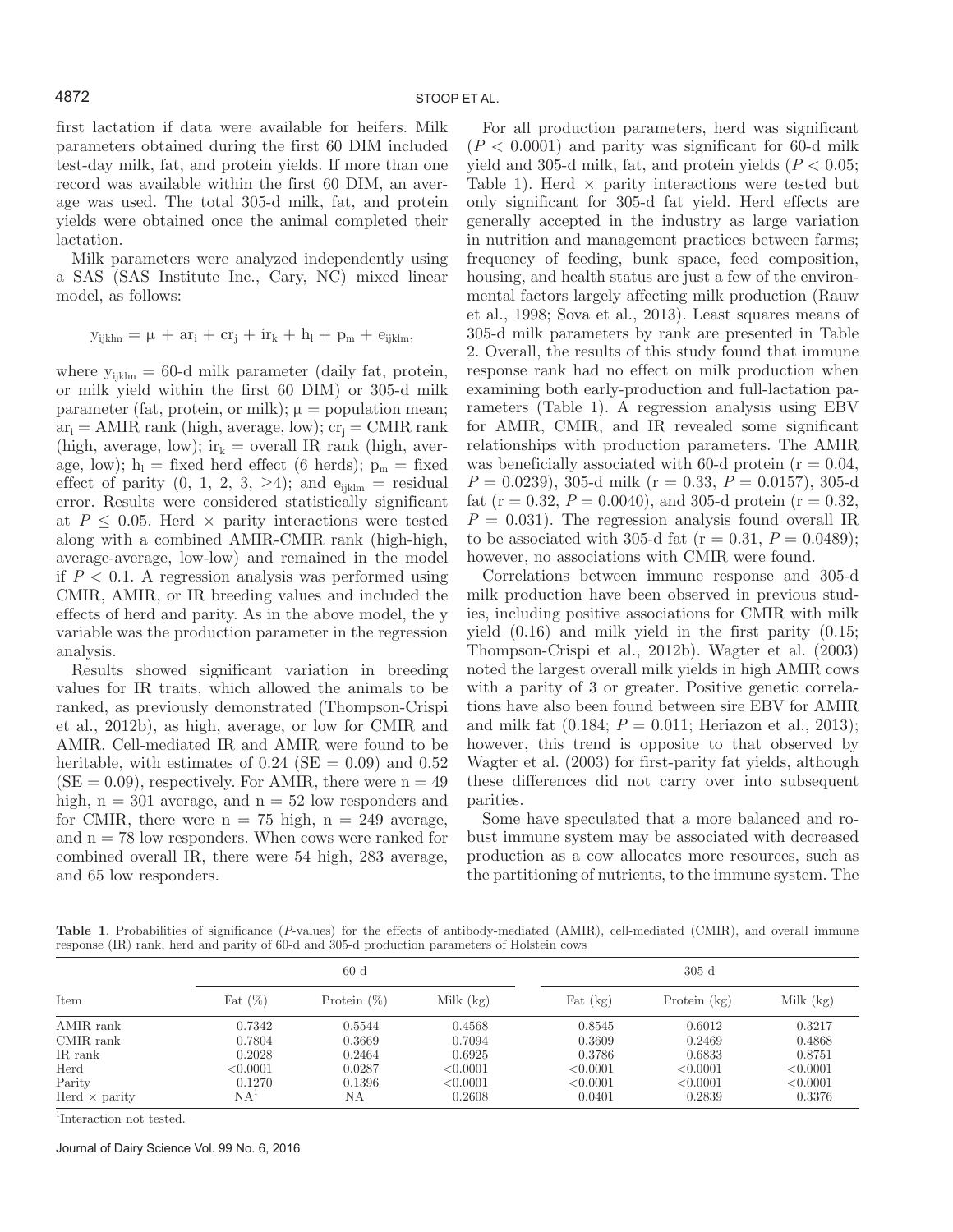first lactation if data were available for heifers. Milk parameters obtained during the first 60 DIM included test-day milk, fat, and protein yields. If more than one record was available within the first 60 DIM, an average was used. The total 305-d milk, fat, and protein yields were obtained once the animal completed their lactation.

Milk parameters were analyzed independently using a SAS (SAS Institute Inc., Cary, NC) mixed linear model, as follows:

$$
y_{ijklm} = \mu + ar_i + cr_j + ir_k + h_l + p_m + e_{ijklm},
$$

where  $y_{ijklm} = 60$ -d milk parameter (daily fat, protein, or milk yield within the first 60 DIM) or 305-d milk parameter (fat, protein, or milk);  $\mu$  = population mean;  $ar_i = AMIR$  rank (high, average, low);  $cr_i = CMIR$  rank (high, average, low);  $ir_k =$  overall IR rank (high, average, low); h<sub>l</sub> = fixed herd effect (6 herds);  $p_m$  = fixed effect of parity  $(0, 1, 2, 3, \geq 4)$ ; and  $e_{ijklm}$  = residual error. Results were considered statistically significant at  $P \leq 0.05$ . Herd  $\times$  parity interactions were tested along with a combined AMIR-CMIR rank (high-high, average-average, low-low) and remained in the model if  $P < 0.1$ . A regression analysis was performed using CMIR, AMIR, or IR breeding values and included the effects of herd and parity. As in the above model, the y variable was the production parameter in the regression analysis.

Results showed significant variation in breeding values for IR traits, which allowed the animals to be ranked, as previously demonstrated (Thompson-Crispi et al., 2012b), as high, average, or low for CMIR and AMIR. Cell-mediated IR and AMIR were found to be heritable, with estimates of  $0.24$  (SE = 0.09) and  $0.52$  $(SE = 0.09)$ , respectively. For AMIR, there were  $n = 49$ high,  $n = 301$  average, and  $n = 52$  low responders and for CMIR, there were  $n = 75$  high,  $n = 249$  average, and  $n = 78$  low responders. When cows were ranked for combined overall IR, there were 54 high, 283 average, and 65 low responders.

For all production parameters, herd was significant  $(P < 0.0001)$  and parity was significant for 60-d milk yield and 305-d milk, fat, and protein yields  $(P < 0.05$ ; Table 1). Herd  $\times$  parity interactions were tested but only significant for 305-d fat yield. Herd effects are generally accepted in the industry as large variation in nutrition and management practices between farms; frequency of feeding, bunk space, feed composition, housing, and health status are just a few of the environmental factors largely affecting milk production (Rauw et al., 1998; Sova et al., 2013). Least squares means of 305-d milk parameters by rank are presented in Table 2. Overall, the results of this study found that immune response rank had no effect on milk production when examining both early-production and full-lactation parameters (Table 1). A regression analysis using EBV for AMIR, CMIR, and IR revealed some significant relationships with production parameters. The AMIR was beneficially associated with 60-d protein  $(r = 0.04,$  $P = 0.0239$ , 305-d milk ( $r = 0.33$ ,  $P = 0.0157$ ), 305-d fat ( $r = 0.32$ ,  $P = 0.0040$ ), and 305-d protein ( $r = 0.32$ ,  $P = 0.031$ . The regression analysis found overall IR to be associated with 305-d fat  $(r = 0.31, P = 0.0489);$ however, no associations with CMIR were found.

Correlations between immune response and 305-d milk production have been observed in previous studies, including positive associations for CMIR with milk yield (0.16) and milk yield in the first parity (0.15; Thompson-Crispi et al., 2012b). Wagter et al. (2003) noted the largest overall milk yields in high AMIR cows with a parity of 3 or greater. Positive genetic correlations have also been found between sire EBV for AMIR and milk fat  $(0.184; P = 0.011;$  Heriazon et al., 2013); however, this trend is opposite to that observed by Wagter et al. (2003) for first-parity fat yields, although these differences did not carry over into subsequent parities.

Some have speculated that a more balanced and robust immune system may be associated with decreased production as a cow allocates more resources, such as the partitioning of nutrients, to the immune system. The

Table 1. Probabilities of significance (*P*-values) for the effects of antibody-mediated (AMIR), cell-mediated (CMIR), and overall immune response (IR) rank, herd and parity of 60-d and 305-d production parameters of Holstein cows

|                                    | 60d                                            |                |             | 305d                        |                |             |
|------------------------------------|------------------------------------------------|----------------|-------------|-----------------------------|----------------|-------------|
| Item                               | Fat $(\%)$                                     | Protein $(\%)$ | Milk $(kg)$ | $\mathrm{Fat}(\mathrm{kg})$ | Protein $(kg)$ | Milk $(kg)$ |
| AMIR rank                          | 0.7342                                         | 0.5544         | 0.4568      | 0.8545                      | 0.6012         | 0.3217      |
| CMIR rank                          | 0.7804                                         | 0.3669         | 0.7094      | 0.3609                      | 0.2469         | 0.4868      |
| IR rank                            | 0.2028                                         | 0.2464         | 0.6925      | 0.3786                      | 0.6833         | 0.8751      |
| Herd                               | < 0.0001                                       | 0.0287         | < 0.0001    | < 0.0001                    | < 0.0001       | < 0.0001    |
| Parity                             | 0.1270                                         | 0.1396         | < 0.0001    | < 0.0001                    | < 0.0001       | < 0.0001    |
| $\text{Herd} \times \text{parity}$ | $\mathrm{NA}^{\scriptscriptstyle{\mathrm{1}}}$ | ΝA             | 0.2608      | 0.0401                      | 0.2839         | 0.3376      |

<sup>1</sup>Interaction not tested.

Journal of Dairy Science Vol. 99 No. 6, 2016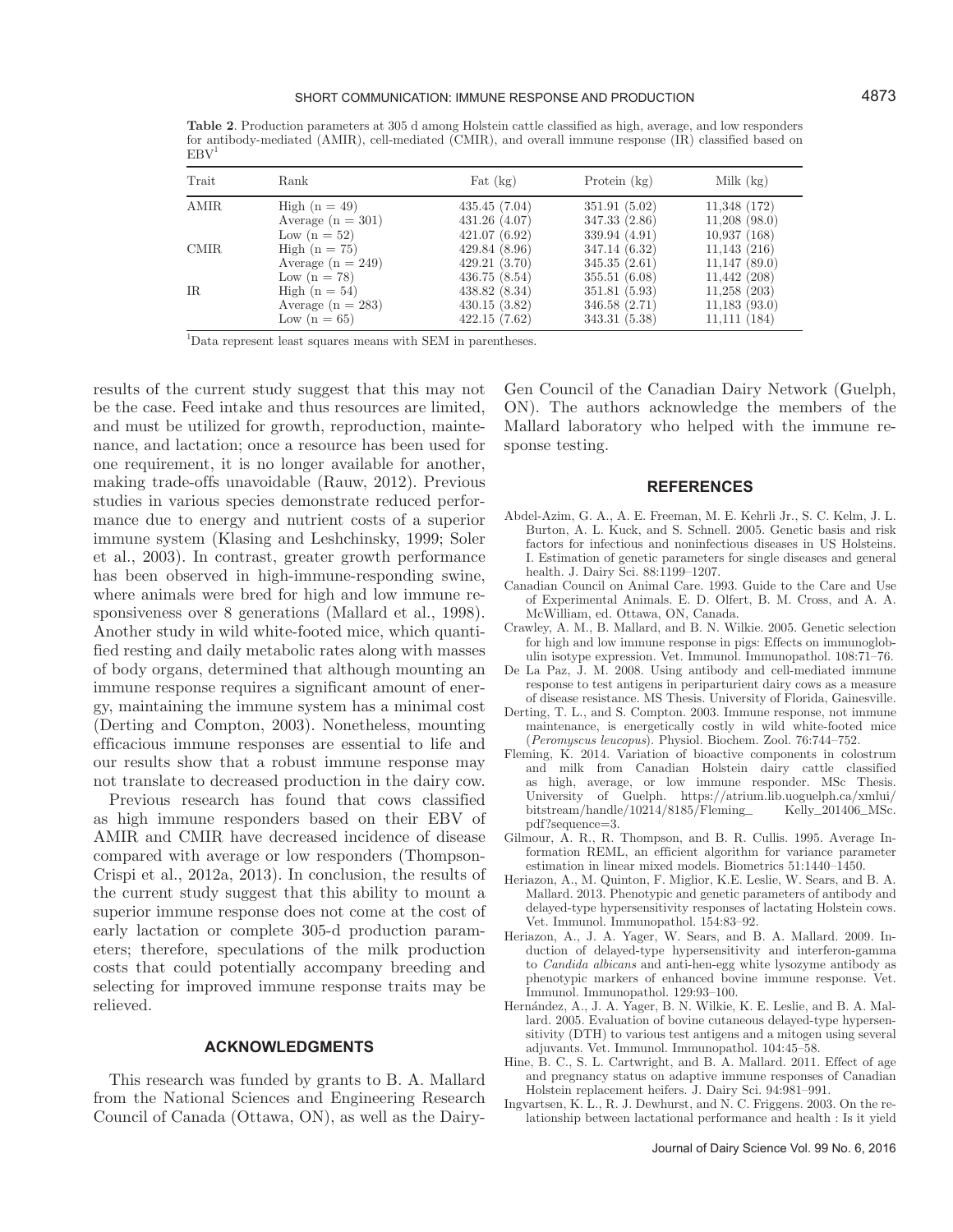**Table 2**. Production parameters at 305 d among Holstein cattle classified as high, average, and low responders for antibody-mediated (AMIR), cell-mediated (CMIR), and overall immune response (IR) classified based on  $EBV<sup>1</sup>$ 

| Trait       | Rank                | $\operatorname{Fat}$ $(kg)$ | Protein (kg)  | Milk $(kg)$     |
|-------------|---------------------|-----------------------------|---------------|-----------------|
| AMIR        | High $(n = 49)$     | 435.45(7.04)                | 351.91(5.02)  | 11,348 (172)    |
|             | Average $(n = 301)$ | 431.26(4.07)                | 347.33(2.86)  | $11,208$ (98.0) |
|             | Low $(n = 52)$      | 421.07(6.92)                | 339.94 (4.91) | 10,937(168)     |
| <b>CMIR</b> | High $(n = 75)$     | 429.84 (8.96)               | 347.14 (6.32) | 11,143(216)     |
|             | Average $(n = 249)$ | 429.21(3.70)                | 345.35(2.61)  | 11,147(89.0)    |
|             | Low $(n = 78)$      | 436.75(8.54)                | 355.51(6.08)  | 11,442 (208)    |
| IR.         | High $(n = 54)$     | 438.82(8.34)                | 351.81 (5.93) | 11,258(203)     |
|             | Average $(n = 283)$ | 430.15(3.82)                | 346.58 (2.71) | $11,183$ (93.0) |
|             | Low $(n = 65)$      | 422.15(7.62)                | 343.31 (5.38) | 11,111 (184)    |

1 Data represent least squares means with SEM in parentheses.

results of the current study suggest that this may not be the case. Feed intake and thus resources are limited, and must be utilized for growth, reproduction, maintenance, and lactation; once a resource has been used for one requirement, it is no longer available for another, making trade-offs unavoidable (Rauw, 2012). Previous studies in various species demonstrate reduced performance due to energy and nutrient costs of a superior immune system (Klasing and Leshchinsky, 1999; Soler et al., 2003). In contrast, greater growth performance has been observed in high-immune-responding swine, where animals were bred for high and low immune responsiveness over 8 generations (Mallard et al., 1998). Another study in wild white-footed mice, which quantified resting and daily metabolic rates along with masses of body organs, determined that although mounting an immune response requires a significant amount of energy, maintaining the immune system has a minimal cost (Derting and Compton, 2003). Nonetheless, mounting efficacious immune responses are essential to life and our results show that a robust immune response may not translate to decreased production in the dairy cow.

Previous research has found that cows classified as high immune responders based on their EBV of AMIR and CMIR have decreased incidence of disease compared with average or low responders (Thompson-Crispi et al., 2012a, 2013). In conclusion, the results of the current study suggest that this ability to mount a superior immune response does not come at the cost of early lactation or complete 305-d production parameters; therefore, speculations of the milk production costs that could potentially accompany breeding and selecting for improved immune response traits may be relieved.

#### **ACKNOWLEDGMENTS**

This research was funded by grants to B. A. Mallard from the National Sciences and Engineering Research Council of Canada (Ottawa, ON), as well as the DairyGen Council of the Canadian Dairy Network (Guelph, ON). The authors acknowledge the members of the Mallard laboratory who helped with the immune response testing.

### **REFERENCES**

- Abdel-Azim, G. A., A. E. Freeman, M. E. Kehrli Jr., S. C. Kelm, J. L. Burton, A. L. Kuck, and S. Schnell. 2005. Genetic basis and risk factors for infectious and noninfectious diseases in US Holsteins. I. Estimation of genetic parameters for single diseases and general health. J. Dairy Sci. 88:1199–1207.
- Canadian Council on Animal Care. 1993. Guide to the Care and Use of Experimental Animals. E. D. Olfert, B. M. Cross, and A. A. McWilliam, ed. Ottawa, ON, Canada.
- Crawley, A. M., B. Mallard, and B. N. Wilkie. 2005. Genetic selection for high and low immune response in pigs: Effects on immunoglobulin isotype expression. Vet. Immunol. Immunopathol. 108:71–76.
- De La Paz, J. M. 2008. Using antibody and cell-mediated immune response to test antigens in periparturient dairy cows as a measure of disease resistance. MS Thesis. University of Florida, Gainesville.
- Derting, T. L., and S. Compton. 2003. Immune response, not immune maintenance, is energetically costly in wild white-footed mice (*Peromyscus leucopus*). Physiol. Biochem. Zool. 76:744–752.
- Fleming, K. 2014. Variation of bioactive components in colostrum and milk from Canadian Holstein dairy cattle classified as high, average, or low immune responder. MSc Thesis. University of Guelph. https://atrium.lib.uoguelph.ca/xmlui/<br>bitstream/handle/10214/8185/Fleming\_kelly\_201406\_MSc. bitstream/handle/10214/8185/Fleming\_ pdf?sequence=3.
- Gilmour, A. R., R. Thompson, and B. R. Cullis. 1995. Average Information REML, an efficient algorithm for variance parameter estimation in linear mixed models. Biometrics 51:1440–1450.
- Heriazon, A., M. Quinton, F. Miglior, K.E. Leslie, W. Sears, and B. A. Mallard. 2013. Phenotypic and genetic parameters of antibody and delayed-type hypersensitivity responses of lactating Holstein cows. Vet. Immunol. Immunopathol. 154:83–92.
- Heriazon, A., J. A. Yager, W. Sears, and B. A. Mallard. 2009. Induction of delayed-type hypersensitivity and interferon-gamma to *Candida albicans* and anti-hen-egg white lysozyme antibody as phenotypic markers of enhanced bovine immune response. Vet. Immunol. Immunopathol. 129:93–100.
- Hernández, A., J. A. Yager, B. N. Wilkie, K. E. Leslie, and B. A. Mallard. 2005. Evaluation of bovine cutaneous delayed-type hypersensitivity (DTH) to various test antigens and a mitogen using several adjuvants. Vet. Immunol. Immunopathol. 104:45–58.
- Hine, B. C., S. L. Cartwright, and B. A. Mallard. 2011. Effect of age and pregnancy status on adaptive immune responses of Canadian Holstein replacement heifers. J. Dairy Sci. 94:981–991.
- Ingvartsen, K. L., R. J. Dewhurst, and N. C. Friggens. 2003. On the relationship between lactational performance and health : Is it yield